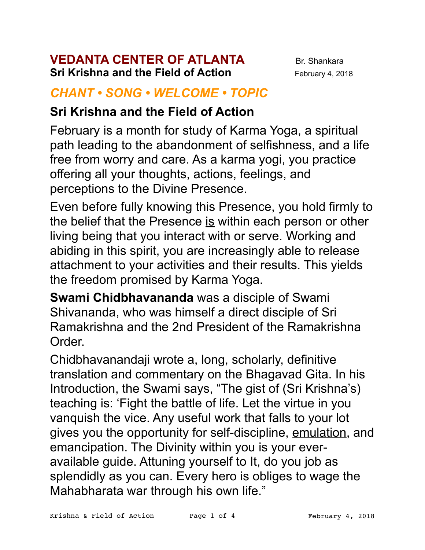#### **VEDANTA CENTER OF ATLANTA** Br. Shankara **Sri Krishna and the Field of Action** February 4, 2018

#### *CHANT • SONG • WELCOME • TOPIC*

### **Sri Krishna and the Field of Action**

February is a month for study of Karma Yoga, a spiritual path leading to the abandonment of selfishness, and a life free from worry and care. As a karma yogi, you practice offering all your thoughts, actions, feelings, and perceptions to the Divine Presence.

Even before fully knowing this Presence, you hold firmly to the belief that the Presence is within each person or other living being that you interact with or serve. Working and abiding in this spirit, you are increasingly able to release attachment to your activities and their results. This yields the freedom promised by Karma Yoga.

**Swami Chidbhavananda** was a disciple of Swami Shivananda, who was himself a direct disciple of Sri Ramakrishna and the 2nd President of the Ramakrishna Order.

Chidbhavanandaji wrote a, long, scholarly, definitive translation and commentary on the Bhagavad Gita. In his Introduction, the Swami says, "The gist of (Sri Krishna's) teaching is: 'Fight the battle of life. Let the virtue in you vanquish the vice. Any useful work that falls to your lot gives you the opportunity for self-discipline, emulation, and emancipation. The Divinity within you is your everavailable guide. Attuning yourself to It, do you job as splendidly as you can. Every hero is obliges to wage the Mahabharata war through his own life."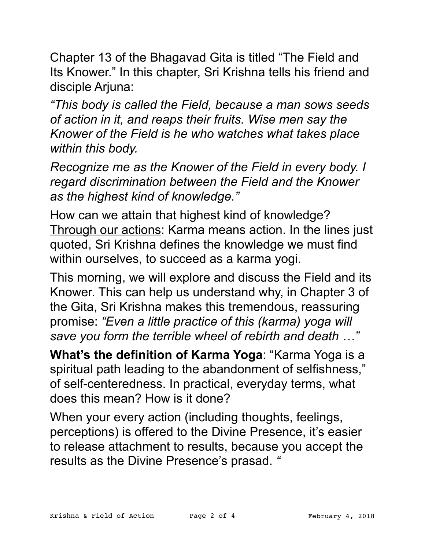Chapter 13 of the Bhagavad Gita is titled "The Field and Its Knower." In this chapter, Sri Krishna tells his friend and disciple Arjuna:

*"This body is called the Field, because a man sows seeds of action in it, and reaps their fruits. Wise men say the Knower of the Field is he who watches what takes place within this body.* 

*Recognize me as the Knower of the Field in every body. I regard discrimination between the Field and the Knower as the highest kind of knowledge."* 

How can we attain that highest kind of knowledge? Through our actions: Karma means action. In the lines just quoted, Sri Krishna defines the knowledge we must find within ourselves, to succeed as a karma yogi.

This morning, we will explore and discuss the Field and its Knower. This can help us understand why, in Chapter 3 of the Gita, Sri Krishna makes this tremendous, reassuring promise: *"Even a little practice of this (karma) yoga will save you form the terrible wheel of rebirth and death …"*

**What's the definition of Karma Yoga**: "Karma Yoga is a spiritual path leading to the abandonment of selfishness," of self-centeredness. In practical, everyday terms, what does this mean? How is it done?

When your every action (including thoughts, feelings, perceptions) is offered to the Divine Presence, it's easier to release attachment to results, because you accept the results as the Divine Presence's prasad. *"*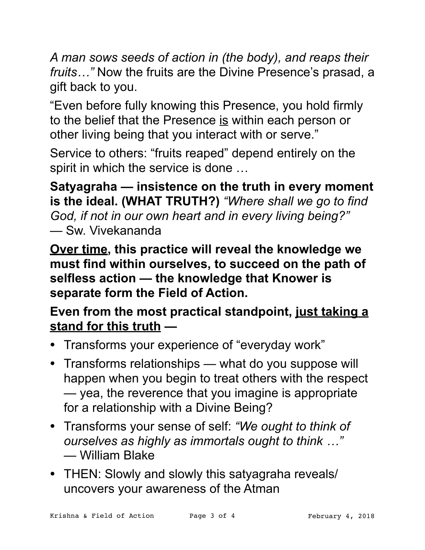*A man sows seeds of action in (the body), and reaps their fruits…"* Now the fruits are the Divine Presence's prasad, a gift back to you.

"Even before fully knowing this Presence, you hold firmly to the belief that the Presence is within each person or other living being that you interact with or serve."

Service to others: "fruits reaped" depend entirely on the spirit in which the service is done …

**Satyagraha — insistence on the truth in every moment is the ideal. (WHAT TRUTH?)** *"Where shall we go to find God, if not in our own heart and in every living being?"* — Sw. Vivekananda

**Over time, this practice will reveal the knowledge we must find within ourselves, to succeed on the path of selfless action — the knowledge that Knower is separate form the Field of Action.** 

# **Even from the most practical standpoint, just taking a stand for this truth —**

- Transforms your experience of "everyday work"
- Transforms relationships what do you suppose will happen when you begin to treat others with the respect — yea, the reverence that you imagine is appropriate for a relationship with a Divine Being?
- Transforms your sense of self: *"We ought to think of ourselves as highly as immortals ought to think …"*  — William Blake
- THEN: Slowly and slowly this satyagraha reveals/ uncovers your awareness of the Atman